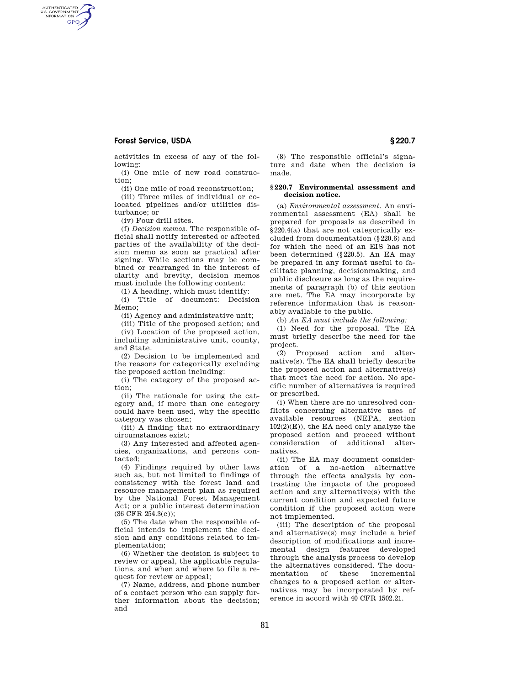## **Forest Service, USDA § 220.7**

AUTHENTICATED<br>U.S. GOVERNMENT<br>INFORMATION **GPO** 

> activities in excess of any of the following:

(i) One mile of new road construction;

(ii) One mile of road reconstruction;

(iii) Three miles of individual or colocated pipelines and/or utilities disturbance; or

(iv) Four drill sites.

(f) *Decision memos.* The responsible official shall notify interested or affected parties of the availability of the decision memo as soon as practical after signing. While sections may be combined or rearranged in the interest of clarity and brevity, decision memos must include the following content:

(1) A heading, which must identify:

(i) Title of document: Decision Memo;

(ii) Agency and administrative unit;

(iii) Title of the proposed action; and (iv) Location of the proposed action, including administrative unit, county, and State.

(2) Decision to be implemented and the reasons for categorically excluding the proposed action including:

(i) The category of the proposed action;

(ii) The rationale for using the category and, if more than one category could have been used, why the specific category was chosen;

(iii) A finding that no extraordinary circumstances exist;

(3) Any interested and affected agencies, organizations, and persons contacted;

(4) Findings required by other laws such as, but not limited to findings of consistency with the forest land and resource management plan as required by the National Forest Management Act; or a public interest determination (36 CFR 254.3(c));

(5) The date when the responsible official intends to implement the decision and any conditions related to implementation;

(6) Whether the decision is subject to review or appeal, the applicable regulations, and when and where to file a request for review or appeal;

(7) Name, address, and phone number of a contact person who can supply further information about the decision; and

(8) The responsible official's signature and date when the decision is made.

## **§ 220.7 Environmental assessment and decision notice.**

(a) *Environmental assessment.* An environmental assessment (EA) shall be prepared for proposals as described in §220.4(a) that are not categorically excluded from documentation (§220.6) and for which the need of an EIS has not been determined (§220.5). An EA may be prepared in any format useful to facilitate planning, decisionmaking, and public disclosure as long as the requirements of paragraph (b) of this section are met. The EA may incorporate by reference information that is reasonably available to the public.

(b) *An EA must include the following:* 

(1) Need for the proposal. The EA must briefly describe the need for the project.

(2) Proposed action and alternative(s). The EA shall briefly describe the proposed action and alternative(s) that meet the need for action. No specific number of alternatives is required or prescribed.

(i) When there are no unresolved conflicts concerning alternative uses of available resources (NEPA, section 102(2)(E)), the EA need only analyze the proposed action and proceed without consideration of additional alternatives.

(ii) The EA may document consideration of a no-action alternative through the effects analysis by contrasting the impacts of the proposed action and any alternative(s) with the current condition and expected future condition if the proposed action were not implemented.

(iii) The description of the proposal and alternative(s) may include a brief description of modifications and incremental design features developed through the analysis process to develop the alternatives considered. The documentation of these incremental changes to a proposed action or alternatives may be incorporated by reference in accord with 40 CFR 1502.21.